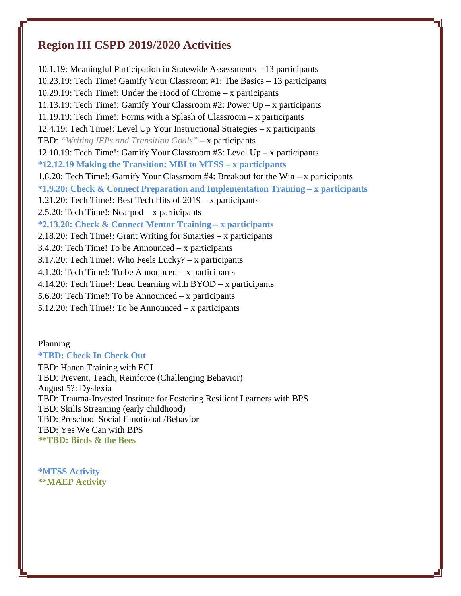## **Region III CSPD 2019/2020 Activities**

10.1.19: Meaningful Participation in Statewide Assessments – 13 participants 10.23.19: Tech Time! Gamify Your Classroom #1: The Basics – 13 participants 10.29.19: Tech Time!: Under the Hood of Chrome – x participants 11.13.19: Tech Time!: Gamify Your Classroom #2: Power Up – x participants 11.19.19: Tech Time!: Forms with a Splash of Classroom – x participants 12.4.19: Tech Time!: Level Up Your Instructional Strategies – x participants TBD: *"Writing IEPs and Transition Goals"* – x participants 12.10.19: Tech Time!: Gamify Your Classroom #3: Level Up – x participants **\*12.12.19 Making the Transition: MBI to MTSS – x participants** 1.8.20: Tech Time!: Gamify Your Classroom #4: Breakout for the Win – x participants **\*1.9.20: Check & Connect Preparation and Implementation Training – x participants** 1.21.20: Tech Time!: Best Tech Hits of 2019 – x participants 2.5.20: Tech Time!: Nearpod – x participants **\*2.13.20: Check & Connect Mentor Training – x participants** 2.18.20: Tech Time!: Grant Writing for Smarties – x participants 3.4.20: Tech Time! To be Announced – x participants 3.17.20: Tech Time!: Who Feels Lucky? – x participants 4.1.20: Tech Time!: To be Announced – x participants 4.14.20: Tech Time!: Lead Learning with BYOD – x participants 5.6.20: Tech Time!: To be Announced – x participants 5.12.20: Tech Time!: To be Announced – x participants

Planning **\*TBD: Check In Check Out** TBD: Hanen Training with ECI TBD: Prevent, Teach, Reinforce (Challenging Behavior) August 5?: Dyslexia TBD: Trauma-Invested Institute for Fostering Resilient Learners with BPS TBD: Skills Streaming (early childhood) TBD: Preschool Social Emotional /Behavior TBD: Yes We Can with BPS **\*\*TBD: Birds & the Bees**

**\*MTSS Activity \*\*MAEP Activity**